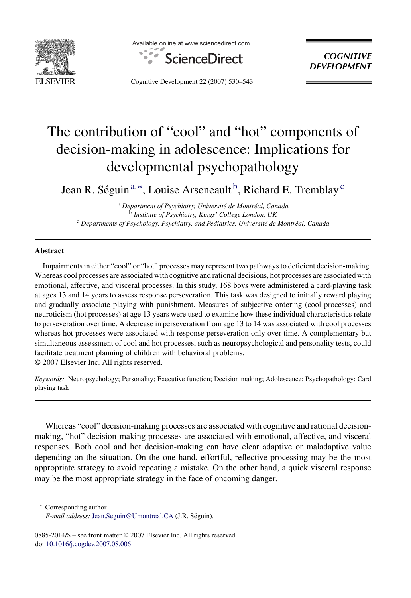

Available online at www.sciencedirect.com



**COGNITIVE DEVELOPMENT** 

Cognitive Development 22 (2007) 530–543

# The contribution of "cool" and "hot" components of decision-making in adolescence: Implications for developmental psychopathology

Jean R. Séguin<sup>a,\*</sup>, Louise Arseneault<sup>b</sup>, Richard E. Tremblay<sup>c</sup>

<sup>a</sup> Department of Psychiatry, Université de Montréal, Canada <sup>b</sup> *Institute of Psychiatry, Kings' College London, UK* <sup>c</sup> Departments of Psychology, Psychiatry, and Pediatrics, Université de Montréal, Canada

## **Abstract**

Impairments in either "cool" or "hot" processes may represent two pathways to deficient decision-making. Whereas cool processes are associated with cognitive and rational decisions, hot processes are associated with emotional, affective, and visceral processes. In this study, 168 boys were administered a card-playing task at ages 13 and 14 years to assess response perseveration. This task was designed to initially reward playing and gradually associate playing with punishment. Measures of subjective ordering (cool processes) and neuroticism (hot processes) at age 13 years were used to examine how these individual characteristics relate to perseveration over time. A decrease in perseveration from age 13 to 14 was associated with cool processes whereas hot processes were associated with response perseveration only over time. A complementary but simultaneous assessment of cool and hot processes, such as neuropsychological and personality tests, could facilitate treatment planning of children with behavioral problems. © 2007 Elsevier Inc. All rights reserved.

*Keywords:* Neuropsychology; Personality; Executive function; Decision making; Adolescence; Psychopathology; Card playing task

Whereas "cool" decision-making processes are associated with cognitive and rational decisionmaking, "hot" decision-making processes are associated with emotional, affective, and visceral responses. Both cool and hot decision-making can have clear adaptive or maladaptive value depending on the situation. On the one hand, effortful, reflective processing may be the most appropriate strategy to avoid repeating a mistake. On the other hand, a quick visceral response may be the most appropriate strategy in the face of oncoming danger.

∗ Corresponding author. *E-mail address:* [Jean.Seguin@Umontreal.CA](mailto:Jean.Seguin@Umontreal.CA) (J.R. Seguin). ´

<sup>0885-2014/\$ –</sup> see front matter © 2007 Elsevier Inc. All rights reserved. doi[:10.1016/j.cogdev.2007.08.006](dx.doi.org/10.1016/j.cogdev.2007.08.006)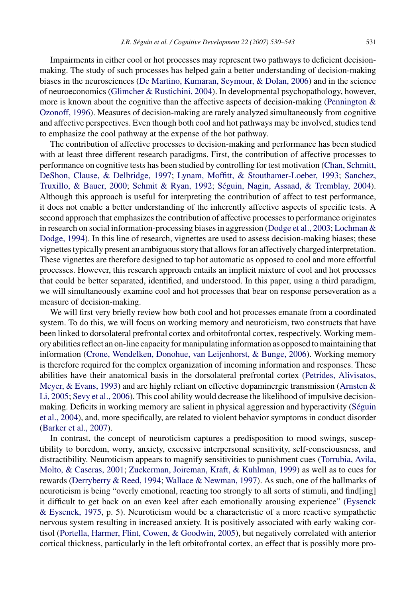Impairments in either cool or hot processes may represent two pathways to deficient decisionmaking. The study of such processes has helped gain a better understanding of decision-making biases in the neurosciences [\(De Martino, Kumaran, Seymour, & Dolan, 2006\)](#page-11-0) and in the science of neuroeconomics [\(Glimcher & Rustichini, 2004\).](#page-12-0) In developmental psychopathology, however, more is known about the cognitive than the affective aspects of decision-making (Pennington  $\&$ [Ozonoff, 1996\).](#page-12-0) Measures of decision-making are rarely analyzed simultaneously from cognitive and affective perspectives. Even though both cool and hot pathways may be involved, studies tend to emphasize the cool pathway at the expense of the hot pathway.

The contribution of affective processes to decision-making and performance has been studied with at least three different research paradigms. First, the contribution of affective processes to performance on cognitive tests has been studied by controlling for test motivation ([Chan, Schmitt,](#page-11-0) [DeShon, Clause, & Delbridge, 1997;](#page-11-0) [Lynam, Moffitt, & Stouthamer-Loeber, 1993;](#page-12-0) [Sanchez,](#page-13-0) [Truxillo, & Bauer, 2000;](#page-13-0) [Schmit & Ryan, 1992;](#page-13-0) Séguin, Nagin, Assaad, & Tremblay, 2004). Although this approach is useful for interpreting the contribution of affect to test performance, it does not enable a better understanding of the inherently affective aspects of specific tests. A second approach that emphasizes the contribution of affective processes to performance originates in research on social information-processing biases in aggression ([Dodge et al., 2003;](#page-11-0) [Lochman &](#page-12-0) [Dodge, 1994\).](#page-12-0) In this line of research, vignettes are used to assess decision-making biases; these vignettes typically present an ambiguous story that allows for an affectively charged interpretation. These vignettes are therefore designed to tap hot automatic as opposed to cool and more effortful processes. However, this research approach entails an implicit mixture of cool and hot processes that could be better separated, identified, and understood. In this paper, using a third paradigm, we will simultaneously examine cool and hot processes that bear on response perseveration as a measure of decision-making.

We will first very briefly review how both cool and hot processes emanate from a coordinated system. To do this, we will focus on working memory and neuroticism, two constructs that have been linked to dorsolateral prefrontal cortex and orbitofrontal cortex, respectively. Working memory abilities reflect an on-line capacity for manipulating information as opposed to maintaining that information [\(Crone, Wendelken, Donohue, van Leijenhorst, & Bunge, 2006\).](#page-11-0) Working memory is therefore required for the complex organization of incoming information and responses. These abilities have their anatomical basis in the dorsolateral prefrontal cortex ([Petrides, Alivisatos,](#page-12-0) [Meyer, & Evans, 1993\)](#page-12-0) and are highly reliant on effective dopaminergic transmission (Arnsten  $\&$ [Li, 2005;](#page-11-0) [Sevy et al., 2006\).](#page-13-0) This cool ability would decrease the likelihood of impulsive decisionmaking. Deficits in working memory are salient in physical aggression and hyperactivity (Séguin [et al., 2004\),](#page-13-0) and, more specifically, are related to violent behavior symptoms in conduct disorder [\(Barker et al., 2007\).](#page-11-0)

In contrast, the concept of neuroticism captures a predisposition to mood swings, susceptibility to boredom, worry, anxiety, excessive interpersonal sensitivity, self-consciousness, and distractibility. Neuroticism appears to magnify sensitivities to punishment cues ([Torrubia, Avila,](#page-13-0) [Molto, & Caseras, 2001;](#page-13-0) [Zuckerman, Joireman, Kraft, & Kuhlman, 1999\)](#page-13-0) as well as to cues for rewards ([Derryberry & Reed, 1994;](#page-11-0) [Wallace & Newman, 1997\).](#page-13-0) As such, one of the hallmarks of neuroticism is being "overly emotional, reacting too strongly to all sorts of stimuli, and find[ing] it difficult to get back on an even keel after each emotionally arousing experience" ([Eysenck](#page-11-0) [& Eysenck, 1975,](#page-11-0) p. 5). Neuroticism would be a characteristic of a more reactive sympathetic nervous system resulting in increased anxiety. It is positively associated with early waking cortisol [\(Portella, Harmer, Flint, Cowen, & Goodwin, 2005\),](#page-12-0) but negatively correlated with anterior cortical thickness, particularly in the left orbitofrontal cortex, an effect that is possibly more pro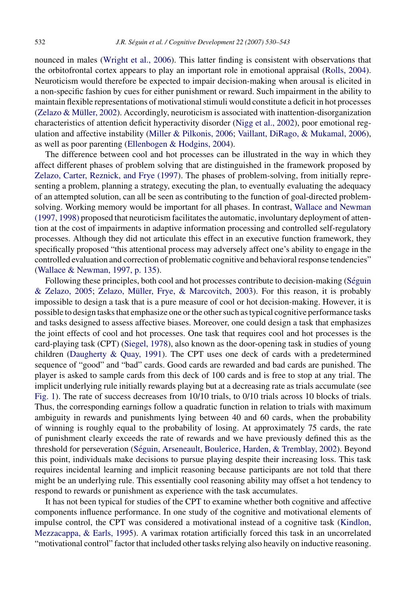nounced in males [\(Wright et al., 2006\).](#page-13-0) This latter finding is consistent with observations that the orbitofrontal cortex appears to play an important role in emotional appraisal ([Rolls, 2004\).](#page-12-0) Neuroticism would therefore be expected to impair decision-making when arousal is elicited in a non-specific fashion by cues for either punishment or reward. Such impairment in the ability to maintain flexible representations of motivational stimuli would constitute a deficit in hot processes (Zelazo & Müller, 2002). Accordingly, neuroticism is associated with inattention-disorganization characteristics of attention deficit hyperactivity disorder ([Nigg et al., 2002\),](#page-12-0) poor emotional regulation and affective instability ([Miller & Pilkonis, 2006;](#page-12-0) [Vaillant, DiRago, & Mukamal, 2006\),](#page-13-0) as well as poor parenting ([Ellenbogen & Hodgins, 2004\).](#page-11-0)

The difference between cool and hot processes can be illustrated in the way in which they affect different phases of problem solving that are distinguished in the framework proposed by [Zelazo, Carter, Reznick, and Frye \(1997\).](#page-13-0) The phases of problem-solving, from initially representing a problem, planning a strategy, executing the plan, to eventually evaluating the adequacy of an attempted solution, can all be seen as contributing to the function of goal-directed problemsolving. Working memory would be important for all phases. In contrast, [Wallace and Newman](#page-13-0) [\(1997, 1998\)](#page-13-0) proposed that neuroticism facilitates the automatic, involuntary deployment of attention at the cost of impairments in adaptive information processing and controlled self-regulatory processes. Although they did not articulate this effect in an executive function framework, they specifically proposed "this attentional process may adversely affect one's ability to engage in the controlled evaluation and correction of problematic cognitive and behavioral response tendencies" ([Wallace & Newman, 1997, p. 135\).](#page-13-0)

Following these principles, both cool and hot processes contribute to decision-making [\(Seguin](#page-13-0) ´ [& Zelazo, 2005;](#page-13-0) Zelazo, Müller, Frye, & Marcovitch, 2003). For this reason, it is probably impossible to design a task that is a pure measure of cool or hot decision-making. However, it is possible to design tasks that emphasize one or the other such as typical cognitive performance tasks and tasks designed to assess affective biases. Moreover, one could design a task that emphasizes the joint effects of cool and hot processes. One task that requires cool and hot processes is the card-playing task (CPT) [\(Siegel, 1978\),](#page-13-0) also known as the door-opening task in studies of young children [\(Daugherty & Quay, 1991\).](#page-11-0) The CPT uses one deck of cards with a predetermined sequence of "good" and "bad" cards. Good cards are rewarded and bad cards are punished. The player is asked to sample cards from this deck of 100 cards and is free to stop at any trial. The implicit underlying rule initially rewards playing but at a decreasing rate as trials accumulate (see [Fig. 1\).](#page-3-0) The rate of success decreases from 10/10 trials, to 0/10 trials across 10 blocks of trials. Thus, the corresponding earnings follow a quadratic function in relation to trials with maximum ambiguity in rewards and punishments lying between 40 and 60 cards, when the probability of winning is roughly equal to the probability of losing. At approximately 75 cards, the rate of punishment clearly exceeds the rate of rewards and we have previously defined this as the threshold for perseveration (Séguin, Arseneault, Boulerice, Harden, & Tremblay, 2002). Beyond this point, individuals make decisions to pursue playing despite their increasing loss. This task requires incidental learning and implicit reasoning because participants are not told that there might be an underlying rule. This essentially cool reasoning ability may offset a hot tendency to respond to rewards or punishment as experience with the task accumulates.

It has not been typical for studies of the CPT to examine whether both cognitive and affective components influence performance. In one study of the cognitive and motivational elements of impulse control, the CPT was considered a motivational instead of a cognitive task ([Kindlon,](#page-12-0) [Mezzacappa, & Earls, 1995\).](#page-12-0) A varimax rotation artificially forced this task in an uncorrelated "motivational control" factor that included other tasks relying also heavily on inductive reasoning.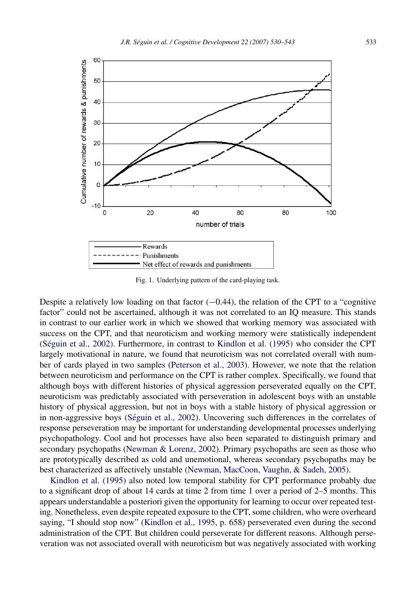<span id="page-3-0"></span>

Fig. 1. Underlying pattern of the card-playing task.

Despite a relatively low loading on that factor (−0.44), the relation of the CPT to a "cognitive factor" could not be ascertained, although it was not correlated to an IQ measure. This stands in contrast to our earlier work in which we showed that working memory was associated with success on the CPT, and that neuroticism and working memory were statistically independent (Séguin et al., 2002). Furthermore, in contrast to [Kindlon et al. \(1995\)](#page-12-0) who consider the CPT largely motivational in nature, we found that neuroticism was not correlated overall with number of cards played in two samples ([Peterson et al., 2003\).](#page-12-0) However, we note that the relation between neuroticism and performance on the CPT is rather complex. Specifically, we found that although boys with different histories of physical aggression perseverated equally on the CPT, neuroticism was predictably associated with perseveration in adolescent boys with an unstable history of physical aggression, but not in boys with a stable history of physical aggression or in non-aggressive boys (Séguin et al., 2002). Uncovering such differences in the correlates of response perseveration may be important for understanding developmental processes underlying psychopathology. Cool and hot processes have also been separated to distinguish primary and secondary psychopaths [\(Newman & Lorenz, 2002\).](#page-12-0) Primary psychopaths are seen as those who are prototypically described as cold and unemotional, whereas secondary psychopaths may be best characterized as affectively unstable [\(Newman, MacCoon, Vaughn, & Sadeh, 2005\).](#page-12-0)

[Kindlon et al. \(1995\)](#page-12-0) also noted low temporal stability for CPT performance probably due to a significant drop of about 14 cards at time 2 from time 1 over a period of 2–5 months. This appears understandable a posteriori given the opportunity for learning to occur over repeated testing. Nonetheless, even despite repeated exposure to the CPT, some children, who were overheard saying, "I should stop now" ([Kindlon et al., 1995,](#page-12-0) p. 658) perseverated even during the second administration of the CPT. But children could perseverate for different reasons. Although perseveration was not associated overall with neuroticism but was negatively associated with working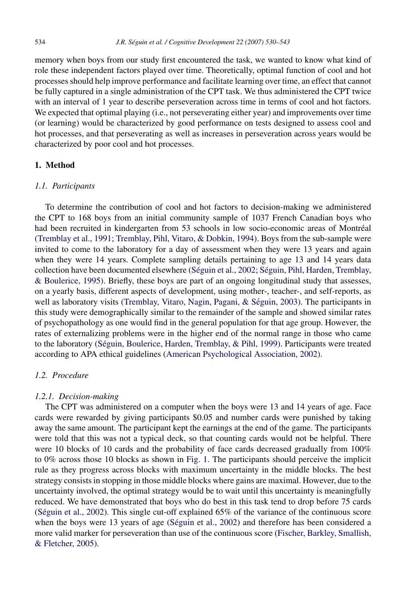memory when boys from our study first encountered the task, we wanted to know what kind of role these independent factors played over time. Theoretically, optimal function of cool and hot processes should help improve performance and facilitate learning over time, an effect that cannot be fully captured in a single administration of the CPT task. We thus administered the CPT twice with an interval of 1 year to describe perseveration across time in terms of cool and hot factors. We expected that optimal playing (i.e., not perseverating either year) and improvements over time (or learning) would be characterized by good performance on tests designed to assess cool and hot processes, and that perseverating as well as increases in perseveration across years would be characterized by poor cool and hot processes.

# **1. Method**

#### *1.1. Participants*

To determine the contribution of cool and hot factors to decision-making we administered the CPT to 168 boys from an initial community sample of 1037 French Canadian boys who had been recruited in kindergarten from 53 schools in low socio-economic areas of Montréal ([Tremblay et al., 1991;](#page-13-0) [Tremblay, Pihl, Vitaro, & Dobkin, 1994\).](#page-13-0) Boys from the sub-sample were invited to come to the laboratory for a day of assessment when they were 13 years and again when they were 14 years. Complete sampling details pertaining to age 13 and 14 years data collection have been documented elsewhere (Séguin et al., 2002; Séguin, Pihl, Harden, Tremblay, [& Boulerice, 1995\).](#page-13-0) Briefly, these boys are part of an ongoing longitudinal study that assesses, on a yearly basis, different aspects of development, using mother-, teacher-, and self-reports, as well as laboratory visits (Tremblay, Vitaro, Nagin, Pagani, & Séguin, 2003). The participants in this study were demographically similar to the remainder of the sample and showed similar rates of psychopathology as one would find in the general population for that age group. However, the rates of externalizing problems were in the higher end of the normal range in those who came to the laboratory (Séguin, Boulerice, Harden, Tremblay,  $\&$  Pihl, 1999). Participants were treated according to APA ethical guidelines ([American Psychological Association, 2002\).](#page-11-0)

# *1.2. Procedure*

#### *1.2.1. Decision-making*

The CPT was administered on a computer when the boys were 13 and 14 years of age. Face cards were rewarded by giving participants \$0.05 and number cards were punished by taking away the same amount. The participant kept the earnings at the end of the game. The participants were told that this was not a typical deck, so that counting cards would not be helpful. There were 10 blocks of 10 cards and the probability of face cards decreased gradually from 100% to 0% across those 10 blocks as shown in [Fig. 1.](#page-3-0) The participants should perceive the implicit rule as they progress across blocks with maximum uncertainty in the middle blocks. The best strategy consists in stopping in those middle blocks where gains are maximal. However, due to the uncertainty involved, the optimal strategy would be to wait until this uncertainty is meaningfully reduced. We have demonstrated that boys who do best in this task tend to drop before 75 cards (Séguin et al., 2002). This single cut-off explained  $65\%$  of the variance of the continuous score when the boys were 13 years of age (Séguin et al., 2002) and therefore has been considered a more valid marker for perseveration than use of the continuous score ([Fischer, Barkley, Smallish,](#page-12-0) [& Fletcher, 2005\).](#page-12-0)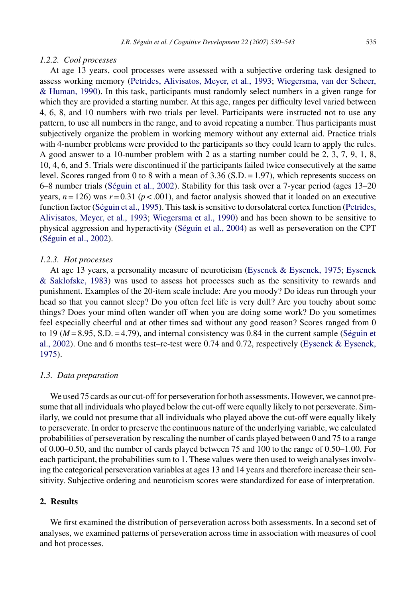## *1.2.2. Cool processes*

At age 13 years, cool processes were assessed with a subjective ordering task designed to assess working memory ([Petrides, Alivisatos, Meyer, et al., 1993;](#page-12-0) [Wiegersma, van der Scheer,](#page-13-0) [& Human, 1990\).](#page-13-0) In this task, participants must randomly select numbers in a given range for which they are provided a starting number. At this age, ranges per difficulty level varied between 4, 6, 8, and 10 numbers with two trials per level. Participants were instructed not to use any pattern, to use all numbers in the range, and to avoid repeating a number. Thus participants must subjectively organize the problem in working memory without any external aid. Practice trials with 4-number problems were provided to the participants so they could learn to apply the rules. A good answer to a 10-number problem with 2 as a starting number could be 2, 3, 7, 9, 1, 8, 10, 4, 6, and 5. Trials were discontinued if the participants failed twice consecutively at the same level. Scores ranged from 0 to 8 with a mean of 3.36 (S.D. = 1.97), which represents success on 6–8 number trials (Séguin et al., 2002). Stability for this task over a 7-year period (ages 13–20) years,  $n = 126$ ) was  $r = 0.31$  ( $p < .001$ ), and factor analysis showed that it loaded on an executive function factor (Séguin et al., 1995). This task is sensitive to dorsolateral cortex function [\(Petrides,](#page-12-0) [Alivisatos, Meyer, et al., 1993;](#page-12-0) [Wiegersma et al., 1990\)](#page-13-0) and has been shown to be sensitive to physical aggression and hyperactivity (Séguin et al., 2004) as well as perseveration on the CPT (Séguin et al., 2002).

## *1.2.3. Hot processes*

At age 13 years, a personality measure of neuroticism ([Eysenck & Eysenck, 1975;](#page-11-0) [Eysenck](#page-11-0) [& Saklofske, 1983\)](#page-11-0) was used to assess hot processes such as the sensitivity to rewards and punishment. Examples of the 20-item scale include: Are you moody? Do ideas run through your head so that you cannot sleep? Do you often feel life is very dull? Are you touchy about some things? Does your mind often wander off when you are doing some work? Do you sometimes feel especially cheerful and at other times sad without any good reason? Scores ranged from 0 to 19 ( $M = 8.95$ , S.D.  $= 4.79$ ), and internal consistency was 0.84 in the current sample (Séguin et [al., 2002\).](#page-13-0) One and 6 months test–re-test were 0.74 and 0.72, respectively ([Eysenck & Eysenck,](#page-11-0) [1975\).](#page-11-0)

#### *1.3. Data preparation*

We used 75 cards as our cut-off for perseveration for both assessments. However, we cannot presume that all individuals who played below the cut-off were equally likely to not perseverate. Similarly, we could not presume that all individuals who played above the cut-off were equally likely to perseverate. In order to preserve the continuous nature of the underlying variable, we calculated probabilities of perseveration by rescaling the number of cards played between 0 and 75 to a range of 0.00–0.50, and the number of cards played between 75 and 100 to the range of 0.50–1.00. For each participant, the probabilities sum to 1. These values were then used to weigh analyses involving the categorical perseveration variables at ages 13 and 14 years and therefore increase their sensitivity. Subjective ordering and neuroticism scores were standardized for ease of interpretation.

# **2. Results**

We first examined the distribution of perseveration across both assessments. In a second set of analyses, we examined patterns of perseveration across time in association with measures of cool and hot processes.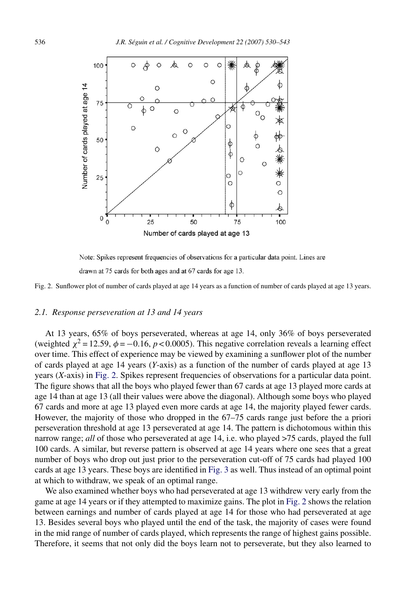

Note: Spikes represent frequencies of observations for a particular data point. Lines are drawn at 75 cards for both ages and at 67 cards for age 13.

Fig. 2. Sunflower plot of number of cards played at age 14 years as a function of number of cards played at age 13 years.

## *2.1. Response perseveration at 13 and 14 years*

At 13 years, 65% of boys perseverated, whereas at age 14, only 36% of boys perseverated (weighted  $\chi^2 = 12.59$ ,  $\phi = -0.16$ ,  $p < 0.0005$ ). This negative correlation reveals a learning effect over time. This effect of experience may be viewed by examining a sunflower plot of the number of cards played at age 14 years (*Y*-axis) as a function of the number of cards played at age 13 years (*X*-axis) in Fig. 2. Spikes represent frequencies of observations for a particular data point. The figure shows that all the boys who played fewer than 67 cards at age 13 played more cards at age 14 than at age 13 (all their values were above the diagonal). Although some boys who played 67 cards and more at age 13 played even more cards at age 14, the majority played fewer cards. However, the majority of those who dropped in the 67–75 cards range just before the a priori perseveration threshold at age 13 perseverated at age 14. The pattern is dichotomous within this narrow range; *all* of those who perseverated at age 14, i.e. who played  $>75$  cards, played the full 100 cards. A similar, but reverse pattern is observed at age 14 years where one sees that a great number of boys who drop out just prior to the perseveration cut-off of 75 cards had played 100 cards at age 13 years. These boys are identified in [Fig. 3](#page-7-0) as well. Thus instead of an optimal point at which to withdraw, we speak of an optimal range.

We also examined whether boys who had perseverated at age 13 withdrew very early from the game at age 14 years or if they attempted to maximize gains. The plot in Fig. 2 shows the relation between earnings and number of cards played at age 14 for those who had perseverated at age 13. Besides several boys who played until the end of the task, the majority of cases were found in the mid range of number of cards played, which represents the range of highest gains possible. Therefore, it seems that not only did the boys learn not to perseverate, but they also learned to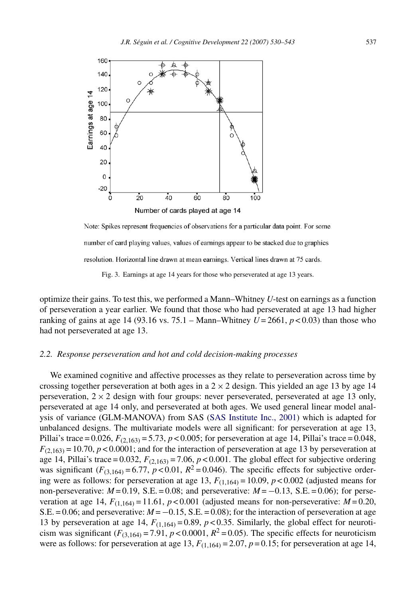<span id="page-7-0"></span>

Note: Spikes represent frequencies of observations for a particular data point. For some number of card playing values, values of earnings appear to be stacked due to graphics resolution. Horizontal line drawn at mean earnings. Vertical lines drawn at 75 cards. Fig. 3. Earnings at age 14 years for those who perseverated at age 13 years.

optimize their gains. To test this, we performed a Mann–Whitney *U*-test on earnings as a function of perseveration a year earlier. We found that those who had perseverated at age 13 had higher ranking of gains at age 14 (93.16 vs. 75.1 – Mann–Whitney  $U = 2661$ ,  $p < 0.03$ ) than those who had not perseverated at age 13.

#### *2.2. Response perseveration and hot and cold decision-making processes*

We examined cognitive and affective processes as they relate to perseveration across time by crossing together perseveration at both ages in a  $2 \times 2$  design. This yielded an age 13 by age 14 perseveration,  $2 \times 2$  design with four groups: never perseverated, perseverated at age 13 only, perseverated at age 14 only, and perseverated at both ages. We used general linear model analysis of variance (GLM-MANOVA) from SAS ([SAS Institute Inc., 2001\)](#page-13-0) which is adapted for unbalanced designs. The multivariate models were all significant: for perseveration at age 13, Pillai's trace =  $0.026$ ,  $F_{(2,163)} = 5.73$ ,  $p < 0.005$ ; for perseveration at age 14, Pillai's trace = 0.048,  $F_{(2,163)} = 10.70, p < 0.0001$ ; and for the interaction of perseveration at age 13 by perseveration at age 14, Pillai's trace =  $0.032$ ,  $F_{(2,163)} = 7.06$ ,  $p < 0.001$ . The global effect for subjective ordering was significant  $(F_{(3,164)} = 6.77, p < 0.01, R^2 = 0.046)$ . The specific effects for subjective ordering were as follows: for perseveration at age 13,  $F_{(1,164)} = 10.09$ ,  $p < 0.002$  (adjusted means for non-perseverative:  $M = 0.19$ , S.E. = 0.08; and perseverative:  $M = -0.13$ , S.E. = 0.06); for perseveration at age 14,  $F_{(1,164)} = 11.61$ ,  $p < 0.001$  (adjusted means for non-perseverative:  $M = 0.20$ , S.E. =  $0.06$ ; and perseverative:  $M = -0.15$ , S.E. =  $0.08$ ); for the interaction of perseveration at age 13 by perseveration at age 14,  $F_{(1,164)} = 0.89$ ,  $p < 0.35$ . Similarly, the global effect for neuroticism was significant  $(F_{(3,164)} = 7.91, p < 0.0001, R^2 = 0.05)$ . The specific effects for neuroticism were as follows: for perseveration at age 13,  $F_{(1,164)} = 2.07$ ,  $p = 0.15$ ; for perseveration at age 14,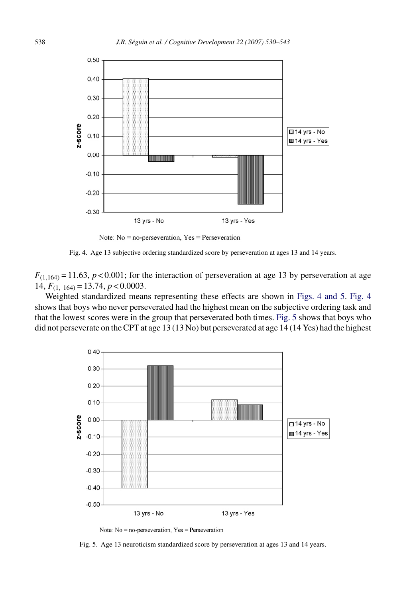

Note:  $No = no-preservation$ ,  $Yes = Perseparation$ 

Fig. 4. Age 13 subjective ordering standardized score by perseveration at ages 13 and 14 years.

 $F_{(1,164)} = 11.63$ ,  $p < 0.001$ ; for the interaction of perseveration at age 13 by perseveration at age 14,  $F_{(1, 164)} = 13.74, p < 0.0003$ .

Weighted standardized means representing these effects are shown in Figs. 4 and 5. Fig. 4 shows that boys who never perseverated had the highest mean on the subjective ordering task and that the lowest scores were in the group that perseverated both times. Fig. 5 shows that boys who did not perseverate on the CPT at age 13 (13 No) but perseverated at age 14 (14 Yes) had the highest



Note:  $No = no-personeraction$ ,  $Yes = Perseveration$ 

Fig. 5. Age 13 neuroticism standardized score by perseveration at ages 13 and 14 years.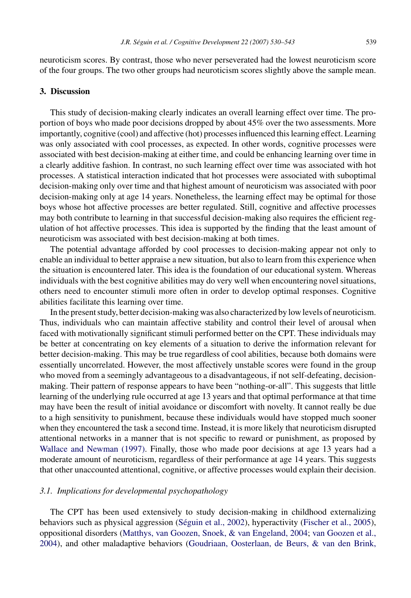neuroticism scores. By contrast, those who never perseverated had the lowest neuroticism score of the four groups. The two other groups had neuroticism scores slightly above the sample mean.

## **3. Discussion**

This study of decision-making clearly indicates an overall learning effect over time. The proportion of boys who made poor decisions dropped by about 45% over the two assessments. More importantly, cognitive (cool) and affective (hot) processes influenced this learning effect. Learning was only associated with cool processes, as expected. In other words, cognitive processes were associated with best decision-making at either time, and could be enhancing learning over time in a clearly additive fashion. In contrast, no such learning effect over time was associated with hot processes. A statistical interaction indicated that hot processes were associated with suboptimal decision-making only over time and that highest amount of neuroticism was associated with poor decision-making only at age 14 years. Nonetheless, the learning effect may be optimal for those boys whose hot affective processes are better regulated. Still, cognitive and affective processes may both contribute to learning in that successful decision-making also requires the efficient regulation of hot affective processes. This idea is supported by the finding that the least amount of neuroticism was associated with best decision-making at both times.

The potential advantage afforded by cool processes to decision-making appear not only to enable an individual to better appraise a new situation, but also to learn from this experience when the situation is encountered later. This idea is the foundation of our educational system. Whereas individuals with the best cognitive abilities may do very well when encountering novel situations, others need to encounter stimuli more often in order to develop optimal responses. Cognitive abilities facilitate this learning over time.

In the present study, better decision-making was also characterized by low levels of neuroticism. Thus, individuals who can maintain affective stability and control their level of arousal when faced with motivationally significant stimuli performed better on the CPT. These individuals may be better at concentrating on key elements of a situation to derive the information relevant for better decision-making. This may be true regardless of cool abilities, because both domains were essentially uncorrelated. However, the most affectively unstable scores were found in the group who moved from a seemingly advantageous to a disadvantageous, if not self-defeating, decisionmaking. Their pattern of response appears to have been "nothing-or-all". This suggests that little learning of the underlying rule occurred at age 13 years and that optimal performance at that time may have been the result of initial avoidance or discomfort with novelty. It cannot really be due to a high sensitivity to punishment, because these individuals would have stopped much sooner when they encountered the task a second time. Instead, it is more likely that neuroticism disrupted attentional networks in a manner that is not specific to reward or punishment, as proposed by [Wallace and Newman \(1997\).](#page-13-0) Finally, those who made poor decisions at age 13 years had a moderate amount of neuroticism, regardless of their performance at age 14 years. This suggests that other unaccounted attentional, cognitive, or affective processes would explain their decision.

# *3.1. Implications for developmental psychopathology*

The CPT has been used extensively to study decision-making in childhood externalizing behaviors such as physical aggression (Séguin et al., 2002), hyperactivity [\(Fischer et al., 2005\),](#page-12-0) oppositional disorders [\(Matthys, van Goozen, Snoek, & van Engeland, 2004;](#page-12-0) [van Goozen et al.,](#page-13-0) [2004\),](#page-13-0) and other maladaptive behaviors ([Goudriaan, Oosterlaan, de Beurs, & van den Brink,](#page-12-0)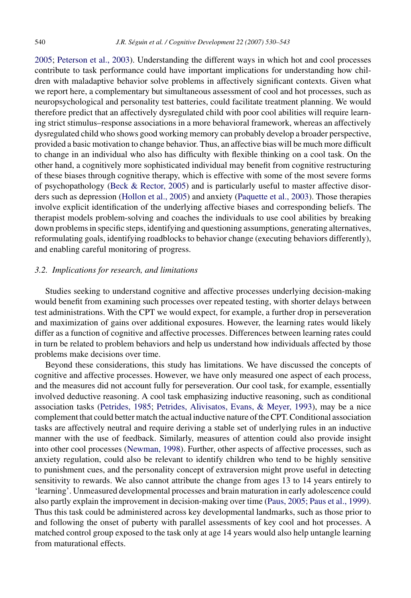[2005;](#page-12-0) [Peterson et al., 2003\).](#page-12-0) Understanding the different ways in which hot and cool processes contribute to task performance could have important implications for understanding how children with maladaptive behavior solve problems in affectively significant contexts. Given what we report here, a complementary but simultaneous assessment of cool and hot processes, such as neuropsychological and personality test batteries, could facilitate treatment planning. We would therefore predict that an affectively dysregulated child with poor cool abilities will require learning strict stimulus–response associations in a more behavioral framework, whereas an affectively dysregulated child who shows good working memory can probably develop a broader perspective, provided a basic motivation to change behavior. Thus, an affective bias will be much more difficult to change in an individual who also has difficulty with flexible thinking on a cool task. On the other hand, a cognitively more sophisticated individual may benefit from cognitive restructuring of these biases through cognitive therapy, which is effective with some of the most severe forms of psychopathology [\(Beck & Rector, 2005\)](#page-11-0) and is particularly useful to master affective disorders such as depression [\(Hollon et al., 2005\)](#page-12-0) and anxiety [\(Paquette et al., 2003\).](#page-12-0) Those therapies involve explicit identification of the underlying affective biases and corresponding beliefs. The therapist models problem-solving and coaches the individuals to use cool abilities by breaking down problems in specific steps, identifying and questioning assumptions, generating alternatives, reformulating goals, identifying roadblocks to behavior change (executing behaviors differently), and enabling careful monitoring of progress.

# *3.2. Implications for research, and limitations*

Studies seeking to understand cognitive and affective processes underlying decision-making would benefit from examining such processes over repeated testing, with shorter delays between test administrations. With the CPT we would expect, for example, a further drop in perseveration and maximization of gains over additional exposures. However, the learning rates would likely differ as a function of cognitive and affective processes. Differences between learning rates could in turn be related to problem behaviors and help us understand how individuals affected by those problems make decisions over time.

Beyond these considerations, this study has limitations. We have discussed the concepts of cognitive and affective processes. However, we have only measured one aspect of each process, and the measures did not account fully for perseveration. Our cool task, for example, essentially involved deductive reasoning. A cool task emphasizing inductive reasoning, such as conditional association tasks ([Petrides, 1985;](#page-12-0) [Petrides, Alivisatos, Evans, & Meyer, 1993\),](#page-12-0) may be a nice complement that could better match the actual inductive nature of the CPT. Conditional association tasks are affectively neutral and require deriving a stable set of underlying rules in an inductive manner with the use of feedback. Similarly, measures of attention could also provide insight into other cool processes ([Newman, 1998\).](#page-12-0) Further, other aspects of affective processes, such as anxiety regulation, could also be relevant to identify children who tend to be highly sensitive to punishment cues, and the personality concept of extraversion might prove useful in detecting sensitivity to rewards. We also cannot attribute the change from ages 13 to 14 years entirely to 'learning'. Unmeasured developmental processes and brain maturation in early adolescence could also partly explain the improvement in decision-making over time [\(Paus, 2005; Paus et al., 1999\).](#page-12-0) Thus this task could be administered across key developmental landmarks, such as those prior to and following the onset of puberty with parallel assessments of key cool and hot processes. A matched control group exposed to the task only at age 14 years would also help untangle learning from maturational effects.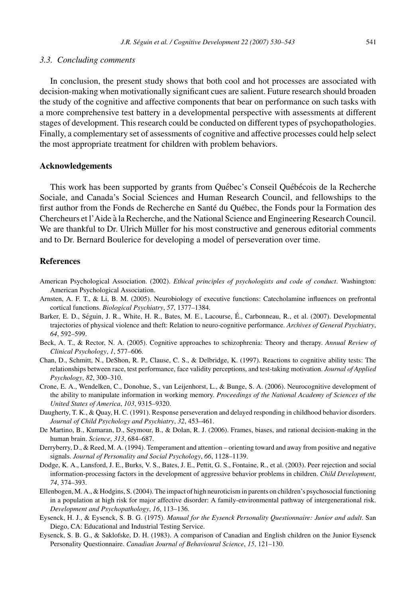#### <span id="page-11-0"></span>*3.3. Concluding comments*

In conclusion, the present study shows that both cool and hot processes are associated with decision-making when motivationally significant cues are salient. Future research should broaden the study of the cognitive and affective components that bear on performance on such tasks with a more comprehensive test battery in a developmental perspective with assessments at different stages of development. This research could be conducted on different types of psychopathologies. Finally, a complementary set of assessments of cognitive and affective processes could help select the most appropriate treatment for children with problem behaviors.

#### **Acknowledgements**

This work has been supported by grants from Québec's Conseil Québécois de la Recherche Sociale, and Canada's Social Sciences and Human Research Council, and fellowships to the first author from the Fonds de Recherche en Santé du Québec, the Fonds pour la Formation des Chercheurs et l'Aide à la Recherche, and the National Science and Engineering Research Council. We are thankful to Dr. Ulrich Müller for his most constructive and generous editorial comments and to Dr. Bernard Boulerice for developing a model of perseveration over time.

## **References**

- American Psychological Association. (2002). *Ethical principles of psychologists and code of conduct*. Washington: American Psychological Association.
- Arnsten, A. F. T., & Li, B. M. (2005). Neurobiology of executive functions: Catecholamine influences on prefrontal cortical functions. *Biological Psychiatry*, *57*, 1377–1384.
- Barker, E. D., Séguin, J. R., White, H. R., Bates, M. E., Lacourse, É., Carbonneau, R., et al. (2007). Developmental trajectories of physical violence and theft: Relation to neuro-cognitive performance. *Archives of General Psychiatry*, *64*, 592–599.
- Beck, A. T., & Rector, N. A. (2005). Cognitive approaches to schizophrenia: Theory and therapy. *Annual Review of Clinical Psychology*, *1*, 577–606.
- Chan, D., Schmitt, N., DeShon, R. P., Clause, C. S., & Delbridge, K. (1997). Reactions to cognitive ability tests: The relationships between race, test performance, face validity perceptions, and test-taking motivation. *Journal of Applied Psychology*, *82*, 300–310.
- Crone, E. A., Wendelken, C., Donohue, S., van Leijenhorst, L., & Bunge, S. A. (2006). Neurocognitive development of the ability to manipulate information in working memory. *Proceedings of the National Academy of Sciences of the United States of America*, *103*, 9315–9320.
- Daugherty, T. K., & Quay, H. C. (1991). Response perseveration and delayed responding in childhood behavior disorders. *Journal of Child Psychology and Psychiatry*, *32*, 453–461.
- De Martino, B., Kumaran, D., Seymour, B., & Dolan, R. J. (2006). Frames, biases, and rational decision-making in the human brain. *Science*, *313*, 684–687.
- Derryberry, D., & Reed, M. A. (1994). Temperament and attention orienting toward and away from positive and negative signals. *Journal of Personality and Social Psychology*, *66*, 1128–1139.
- Dodge, K. A., Lansford, J. E., Burks, V. S., Bates, J. E., Pettit, G. S., Fontaine, R., et al. (2003). Peer rejection and social information-processing factors in the development of aggressive behavior problems in children. *Child Development*, *74*, 374–393.
- Ellenbogen, M. A., & Hodgins, S. (2004). The impact of high neuroticism in parents on children's psychosocial functioning in a population at high risk for major affective disorder: A family-environmental pathway of intergenerational risk. *Development and Psychopathology*, *16*, 113–136.
- Eysenck, H. J., & Eysenck, S. B. G. (1975). *Manual for the Eysenck Personality Questionnaire: Junior and adult*. San Diego, CA: Educational and Industrial Testing Service.
- Eysenck, S. B. G., & Saklofske, D. H. (1983). A comparison of Canadian and English children on the Junior Eysenck Personality Questionnaire. *Canadian Journal of Behavioural Science*, *15*, 121–130.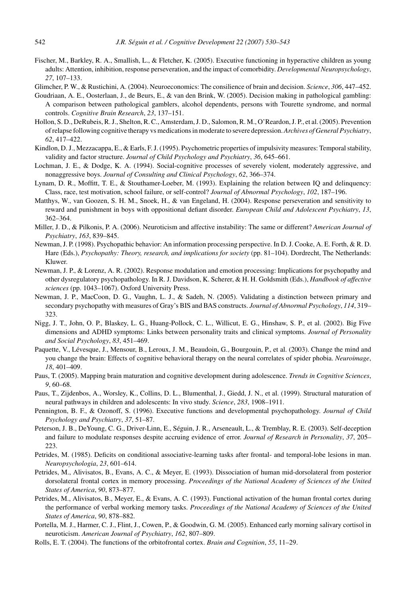- <span id="page-12-0"></span>Fischer, M., Barkley, R. A., Smallish, L., & Fletcher, K. (2005). Executive functioning in hyperactive children as young adults: Attention, inhibition, response perseveration, and the impact of comorbidity. *Developmental Neuropsychology*, *27*, 107–133.
- Glimcher, P. W., & Rustichini, A. (2004). Neuroeconomics: The consilience of brain and decision. *Science*, *306*, 447–452.
- Goudriaan, A. E., Oosterlaan, J., de Beurs, E., & van den Brink, W. (2005). Decision making in pathological gambling: A comparison between pathological gamblers, alcohol dependents, persons with Tourette syndrome, and normal controls. *Cognitive Brain Research*, *23*, 137–151.
- Hollon, S. D., DeRubeis, R. J., Shelton, R. C., Amsterdam, J. D., Salomon, R. M., O'Reardon, J. P., et al. (2005). Prevention of relapse following cognitive therapy vs medications in moderate to severe depression.*Archives of General Psychiatry*, *62*, 417–422.
- Kindlon, D. J., Mezzacappa, E., & Earls, F. J. (1995). Psychometric properties of impulsivity measures: Temporal stability, validity and factor structure. *Journal of Child Psychology and Psychiatry*, *36*, 645–661.
- Lochman, J. E., & Dodge, K. A. (1994). Social-cognitive processes of severely violent, moderately aggressive, and nonaggressive boys. *Journal of Consulting and Clinical Psychology*, *62*, 366–374.
- Lynam, D. R., Moffitt, T. E., & Stouthamer-Loeber, M. (1993). Explaining the relation between IQ and delinquency: Class, race, test motivation, school failure, or self-control? *Journal of Abnormal Psychology*, *102*, 187–196.
- Matthys, W., van Goozen, S. H. M., Snoek, H., & van Engeland, H. (2004). Response perseveration and sensitivity to reward and punishment in boys with oppositional defiant disorder. *European Child and Adolescent Psychiatry*, *13*, 362–364.
- Miller, J. D., & Pilkonis, P. A. (2006). Neuroticism and affective instability: The same or different? *American Journal of Psychiatry*, *163*, 839–845.
- Newman, J. P. (1998). Psychopathic behavior: An information processing perspective. In D. J. Cooke, A. E. Forth, & R. D. Hare (Eds.), *Psychopathy: Theory, research, and implications for society* (pp. 81–104). Dordrecht, The Netherlands: Kluwer.
- Newman, J. P., & Lorenz, A. R. (2002). Response modulation and emotion processing: Implications for psychopathy and other dysregulatory psychopathology. In R. J. Davidson, K. Scherer, & H. H. Goldsmith (Eds.), *Handbook of affective sciences* (pp. 1043–1067). Oxford University Press.
- Newman, J. P., MacCoon, D. G., Vaughn, L. J., & Sadeh, N. (2005). Validating a distinction between primary and secondary psychopathy with measures of Gray's BIS and BAS constructs. *Journal of Abnormal Psychology*, *114*, 319– 323.
- Nigg, J. T., John, O. P., Blaskey, L. G., Huang-Pollock, C. L., Willicut, E. G., Hinshaw, S. P., et al. (2002). Big Five dimensions and ADHD symptoms: Links between personality traits and clinical symptoms. *Journal of Personality and Social Psychology*, *83*, 451–469.
- Paquette, V., Lévesque, J., Mensour, B., Leroux, J. M., Beaudoin, G., Bourgouin, P., et al. (2003). Change the mind and you change the brain: Effects of cognitive behavioral therapy on the neural correlates of spider phobia. *Neuroimage*, *18*, 401–409.
- Paus, T. (2005). Mapping brain maturation and cognitive development during adolescence. *Trends in Cognitive Sciences*, *9*, 60–68.
- Paus, T., Zijdenbos, A., Worsley, K., Collins, D. L., Blumenthal, J., Giedd, J. N., et al. (1999). Structural maturation of neural pathways in children and adolescents: In vivo study. *Science*, *283*, 1908–1911.
- Pennington, B. F., & Ozonoff, S. (1996). Executive functions and developmental psychopathology. *Journal of Child Psychology and Psychiatry*, *37*, 51–87.
- Peterson, J. B., DeYoung, C. G., Driver-Linn, E., Seguin, J. R., Arseneault, L., & Tremblay, R. E. (2003). Self-deception ´ and failure to modulate responses despite accruing evidence of error. *Journal of Research in Personality*, *37*, 205– 223.
- Petrides, M. (1985). Deficits on conditional associative-learning tasks after frontal- and temporal-lobe lesions in man. *Neuropsychologia*, *23*, 601–614.
- Petrides, M., Alivisatos, B., Evans, A. C., & Meyer, E. (1993). Dissociation of human mid-dorsolateral from posterior dorsolateral frontal cortex in memory processing. *Proceedings of the National Academy of Sciences of the United States of America*, *90*, 873–877.
- Petrides, M., Alivisatos, B., Meyer, E., & Evans, A. C. (1993). Functional activation of the human frontal cortex during the performance of verbal working memory tasks. *Proceedings of the National Academy of Sciences of the United States of America*, *90*, 878–882.
- Portella, M. J., Harmer, C. J., Flint, J., Cowen, P., & Goodwin, G. M. (2005). Enhanced early morning salivary cortisol in neuroticism. *American Journal of Psychiatry*, *162*, 807–809.
- Rolls, E. T. (2004). The functions of the orbitofrontal cortex. *Brain and Cognition*, *55*, 11–29.